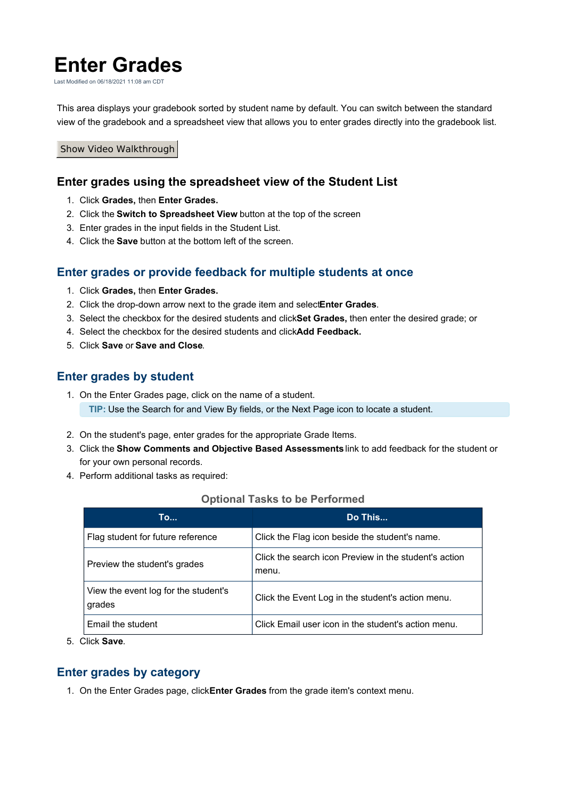# **Enter Grades**

Last Modified on 06/18/2021 11:08 am CDT

This area displays your gradebook sorted by student name by default. You can switch between the standard view of the gradebook and a spreadsheet view that allows you to enter grades directly into the gradebook list.

#### Show Video Walkthrough

### **Enter grades using the spreadsheet view of the Student List**

- 1. Click **Grades,** then **Enter Grades.**
- 2. Click the **Switch to Spreadsheet View** button at the top of the screen
- 3. Enter grades in the input fields in the Student List.
- 4. Click the **Save** button at the bottom left of the screen.

# **Enter grades or provide feedback for multiple students at once**

- 1. Click **Grades,** then **Enter Grades.**
- 2. Click the drop-down arrow next to the grade item and select**Enter Grades**.
- 3. Select the checkbox for the desired students and click**Set Grades,** then enter the desired grade; or
- 4. Select the checkbox for the desired students and click**Add Feedback.**
- 5. Click **Save** or **Save and Close**.

# **Enter grades by student**

- 1. On the Enter Grades page, click on the name of a student. **TIP:** Use the Search for and View By fields, or the Next Page icon to locate a student.
- 2. On the student's page, enter grades for the appropriate Grade Items.
- 3. Click the **Show Comments and Objective Based Assessments** link to add feedback for the student or for your own personal records.
- 4. Perform additional tasks as required:

#### **Optional Tasks to be Performed**

| То                                             | Do This                                                        |
|------------------------------------------------|----------------------------------------------------------------|
| Flag student for future reference              | Click the Flag icon beside the student's name.                 |
| Preview the student's grades                   | Click the search icon Preview in the student's action<br>menu. |
| View the event log for the student's<br>grades | Click the Event Log in the student's action menu.              |
| Email the student                              | Click Email user icon in the student's action menu.            |

5. Click **Save**.

## **Enter grades by category**

1. On the Enter Grades page, click**Enter Grades** from the grade item's context menu.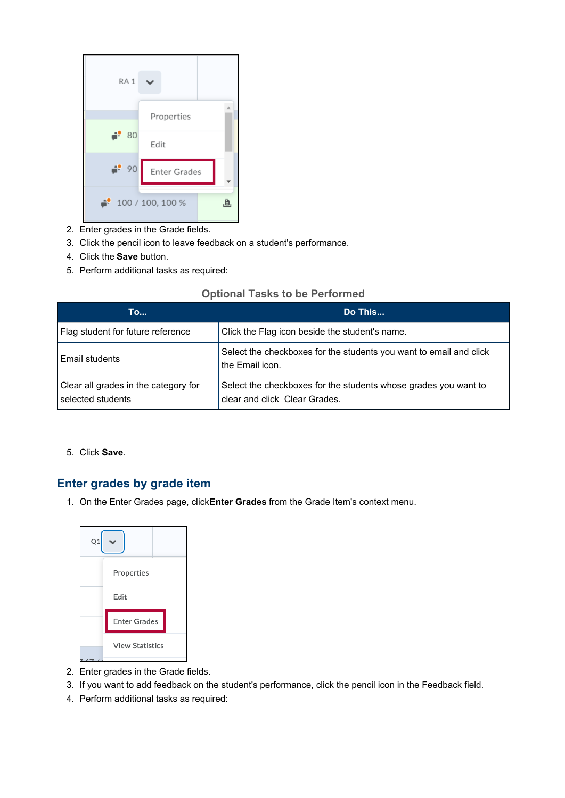

- 2. Enter grades in the Grade fields.
- 3. Click the pencil icon to leave feedback on a student's performance.
- 4. Click the **Save** button.
- 5. Perform additional tasks as required:

#### **Optional Tasks to be Performed**

| <b>To</b>                                                 | Do This                                                                                          |
|-----------------------------------------------------------|--------------------------------------------------------------------------------------------------|
| Flag student for future reference                         | Click the Flag icon beside the student's name.                                                   |
| Email students                                            | Select the checkboxes for the students you want to email and click<br>the Email icon.            |
| Clear all grades in the category for<br>selected students | Select the checkboxes for the students whose grades you want to<br>clear and click Clear Grades. |

5. Click **Save**.

# **Enter grades by grade item**

1. On the Enter Grades page, click**Enter Grades** from the Grade Item's context menu.



- 2. Enter grades in the Grade fields.
- 3. If you want to add feedback on the student's performance, click the pencil icon in the Feedback field.
- 4. Perform additional tasks as required: